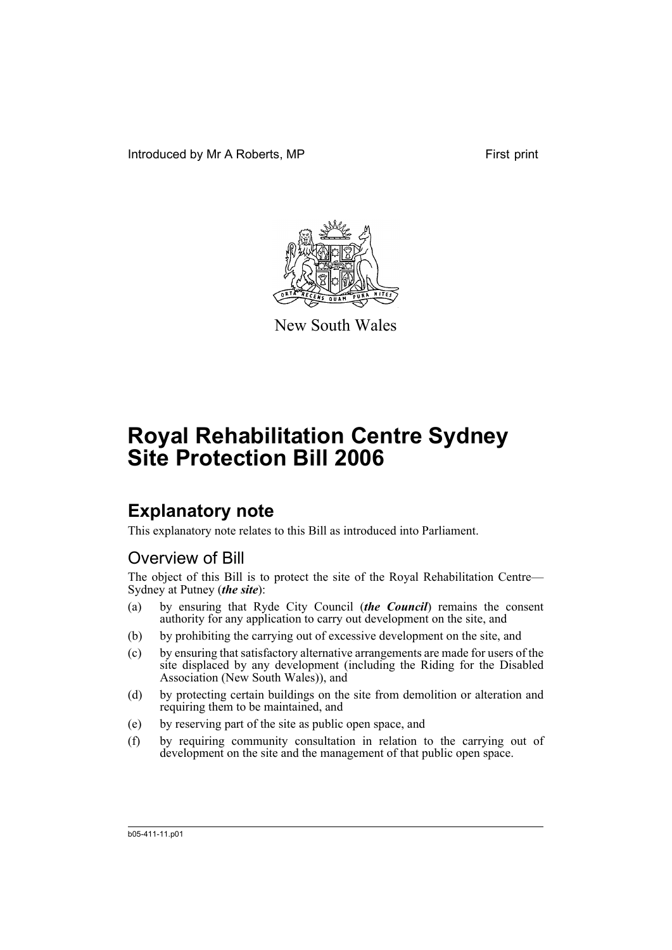Introduced by Mr A Roberts, MP First print



New South Wales

# **Royal Rehabilitation Centre Sydney Site Protection Bill 2006**

## **Explanatory note**

This explanatory note relates to this Bill as introduced into Parliament.

## Overview of Bill

The object of this Bill is to protect the site of the Royal Rehabilitation Centre— Sydney at Putney (*the site*):

- (a) by ensuring that Ryde City Council (*the Council*) remains the consent authority for any application to carry out development on the site, and
- (b) by prohibiting the carrying out of excessive development on the site, and
- (c) by ensuring that satisfactory alternative arrangements are made for users of the site displaced by any development (including the Riding for the Disabled Association (New South Wales)), and
- (d) by protecting certain buildings on the site from demolition or alteration and requiring them to be maintained, and
- (e) by reserving part of the site as public open space, and
- (f) by requiring community consultation in relation to the carrying out of development on the site and the management of that public open space.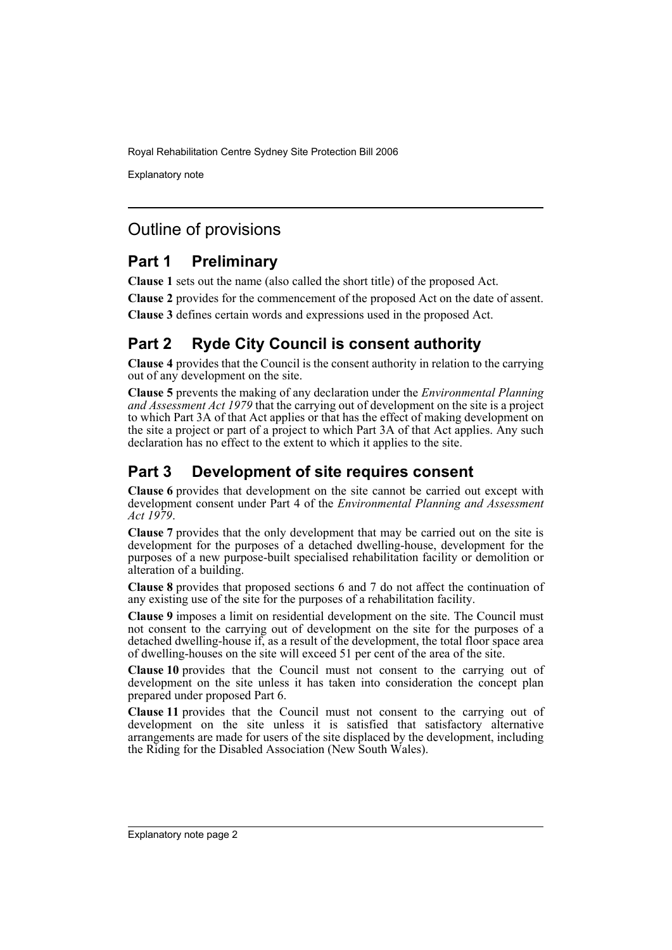Explanatory note

## Outline of provisions

## **Part 1 Preliminary**

**Clause 1** sets out the name (also called the short title) of the proposed Act.

**Clause 2** provides for the commencement of the proposed Act on the date of assent.

**Clause 3** defines certain words and expressions used in the proposed Act.

## **Part 2 Ryde City Council is consent authority**

**Clause 4** provides that the Council is the consent authority in relation to the carrying out of any development on the site.

**Clause 5** prevents the making of any declaration under the *Environmental Planning and Assessment Act 1979* that the carrying out of development on the site is a project to which Part 3A of that Act applies or that has the effect of making development on the site a project or part of a project to which Part 3A of that Act applies. Any such declaration has no effect to the extent to which it applies to the site.

## **Part 3 Development of site requires consent**

**Clause 6** provides that development on the site cannot be carried out except with development consent under Part 4 of the *Environmental Planning and Assessment Act 1979*.

**Clause 7** provides that the only development that may be carried out on the site is development for the purposes of a detached dwelling-house, development for the purposes of a new purpose-built specialised rehabilitation facility or demolition or alteration of a building.

**Clause 8** provides that proposed sections 6 and 7 do not affect the continuation of any existing use of the site for the purposes of a rehabilitation facility.

**Clause 9** imposes a limit on residential development on the site. The Council must not consent to the carrying out of development on the site for the purposes of a detached dwelling-house if, as a result of the development, the total floor space area of dwelling-houses on the site will exceed 51 per cent of the area of the site.

**Clause 10** provides that the Council must not consent to the carrying out of development on the site unless it has taken into consideration the concept plan prepared under proposed Part 6.

**Clause 11** provides that the Council must not consent to the carrying out of development on the site unless it is satisfied that satisfactory alternative arrangements are made for users of the site displaced by the development, including the Riding for the Disabled Association (New South Wales).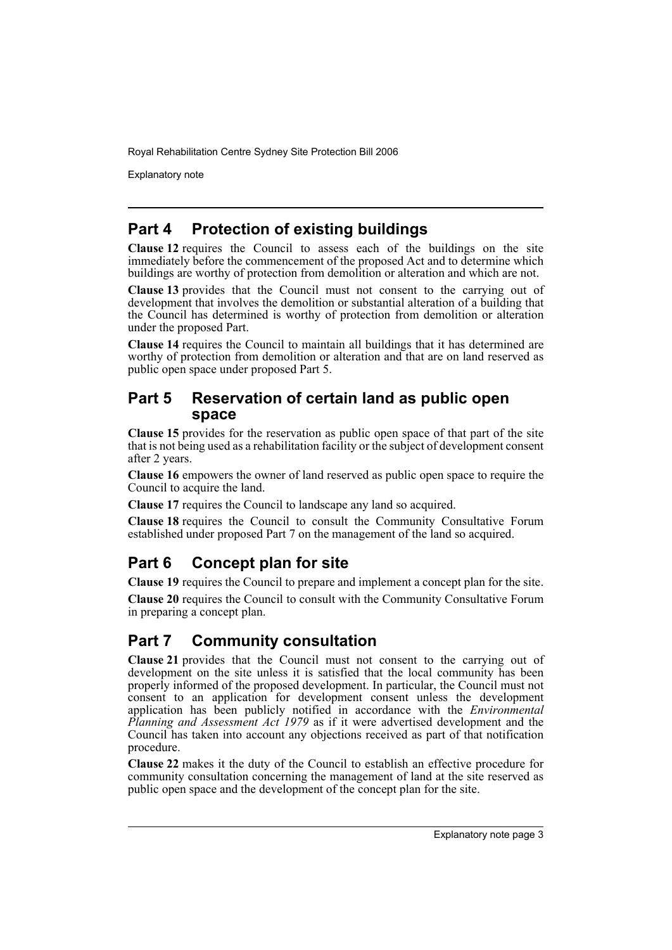Explanatory note

## **Part 4 Protection of existing buildings**

**Clause 12** requires the Council to assess each of the buildings on the site immediately before the commencement of the proposed Act and to determine which buildings are worthy of protection from demolition or alteration and which are not.

**Clause 13** provides that the Council must not consent to the carrying out of development that involves the demolition or substantial alteration of a building that the Council has determined is worthy of protection from demolition or alteration under the proposed Part.

**Clause 14** requires the Council to maintain all buildings that it has determined are worthy of protection from demolition or alteration and that are on land reserved as public open space under proposed Part 5.

### **Part 5 Reservation of certain land as public open space**

**Clause 15** provides for the reservation as public open space of that part of the site that is not being used as a rehabilitation facility or the subject of development consent after 2 years.

**Clause 16** empowers the owner of land reserved as public open space to require the Council to acquire the land.

**Clause 17** requires the Council to landscape any land so acquired.

**Clause 18** requires the Council to consult the Community Consultative Forum established under proposed Part 7 on the management of the land so acquired.

## **Part 6 Concept plan for site**

**Clause 19** requires the Council to prepare and implement a concept plan for the site.

**Clause 20** requires the Council to consult with the Community Consultative Forum in preparing a concept plan.

## **Part 7 Community consultation**

**Clause 21** provides that the Council must not consent to the carrying out of development on the site unless it is satisfied that the local community has been properly informed of the proposed development. In particular, the Council must not consent to an application for development consent unless the development application has been publicly notified in accordance with the *Environmental Planning and Assessment Act 1979* as if it were advertised development and the Council has taken into account any objections received as part of that notification procedure.

**Clause 22** makes it the duty of the Council to establish an effective procedure for community consultation concerning the management of land at the site reserved as public open space and the development of the concept plan for the site.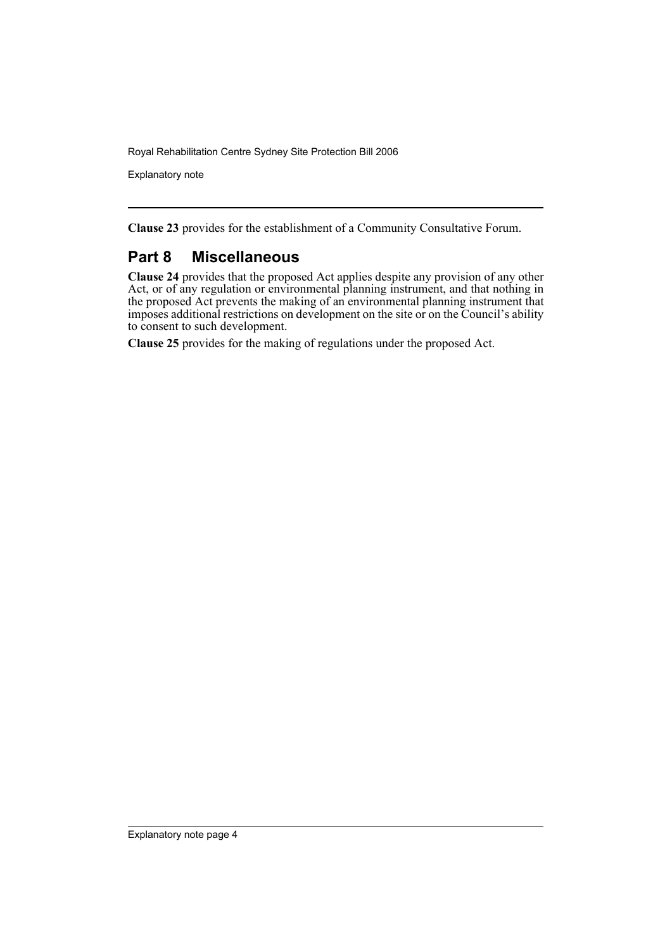Explanatory note

**Clause 23** provides for the establishment of a Community Consultative Forum.

## **Part 8 Miscellaneous**

**Clause 24** provides that the proposed Act applies despite any provision of any other Act, or of any regulation or environmental planning instrument, and that nothing in the proposed Act prevents the making of an environmental planning instrument that imposes additional restrictions on development on the site or on the Council's ability to consent to such development.

**Clause 25** provides for the making of regulations under the proposed Act.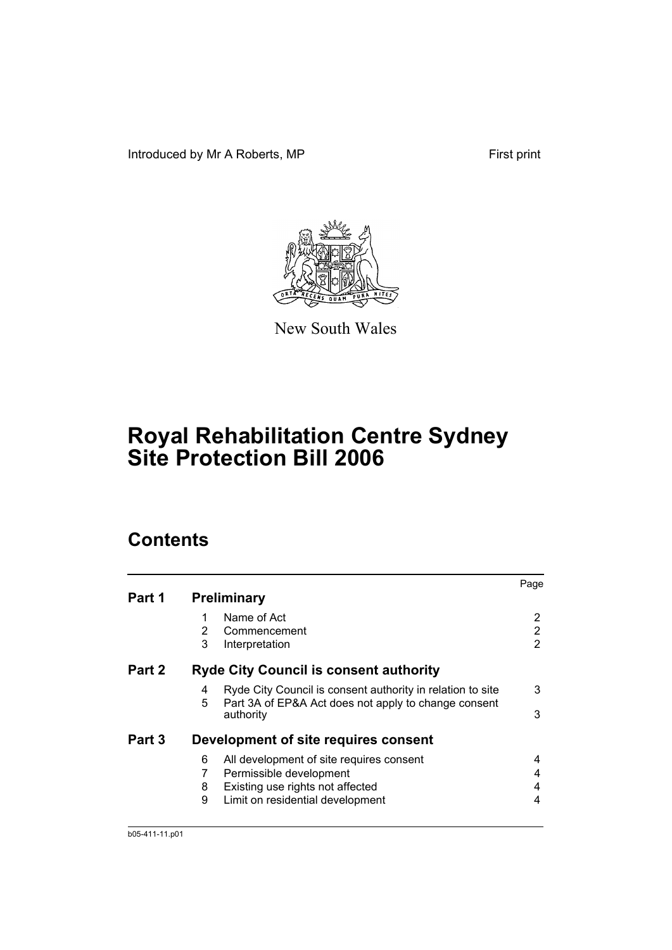Introduced by Mr A Roberts, MP First print



New South Wales

## **Royal Rehabilitation Centre Sydney Site Protection Bill 2006**

## **Contents**

|        |                                                                                                                              | Page |
|--------|------------------------------------------------------------------------------------------------------------------------------|------|
| Part 1 | <b>Preliminary</b>                                                                                                           |      |
|        | Name of Act                                                                                                                  |      |
|        | 2<br>Commencement                                                                                                            | 2    |
|        | 3<br>Interpretation                                                                                                          | 2    |
| Part 2 | <b>Ryde City Council is consent authority</b>                                                                                |      |
|        | Ryde City Council is consent authority in relation to site<br>4<br>5<br>Part 3A of EP&A Act does not apply to change consent | 3    |
|        | authority                                                                                                                    | 3    |
| Part 3 | Development of site requires consent                                                                                         |      |
|        | All development of site requires consent<br>6                                                                                | 4    |
|        | 7<br>Permissible development                                                                                                 | 4    |
|        | Existing use rights not affected<br>8                                                                                        | 4    |
|        | 9<br>Limit on residential development                                                                                        | 4    |
|        |                                                                                                                              |      |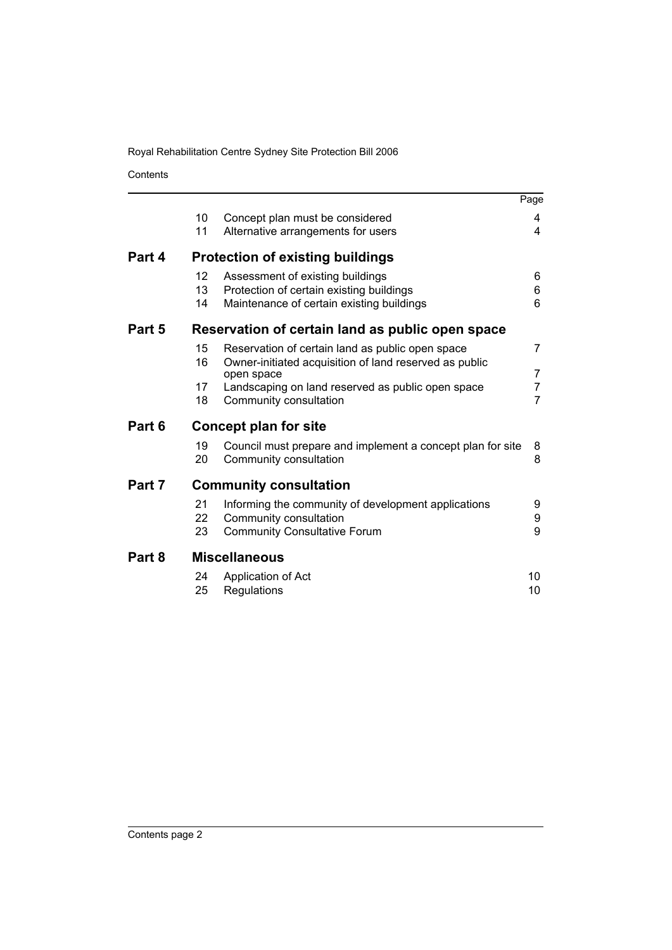Contents

|        |    |                                                                      | Page |
|--------|----|----------------------------------------------------------------------|------|
|        | 10 | Concept plan must be considered                                      | 4    |
|        | 11 | Alternative arrangements for users                                   | 4    |
| Part 4 |    | <b>Protection of existing buildings</b>                              |      |
|        | 12 | Assessment of existing buildings                                     | 6    |
|        | 13 | Protection of certain existing buildings                             | 6    |
|        | 14 | Maintenance of certain existing buildings                            | 6    |
| Part 5 |    | Reservation of certain land as public open space                     |      |
|        | 15 | Reservation of certain land as public open space                     | 7    |
|        | 16 | Owner-initiated acquisition of land reserved as public<br>open space | 7    |
|        | 17 | Landscaping on land reserved as public open space                    | 7    |
|        | 18 | Community consultation                                               | 7    |
| Part 6 |    | Concept plan for site                                                |      |
|        | 19 | Council must prepare and implement a concept plan for site           | 8    |
|        | 20 | Community consultation                                               | 8    |
| Part 7 |    | <b>Community consultation</b>                                        |      |
|        | 21 | Informing the community of development applications                  | 9    |
|        | 22 | Community consultation                                               | 9    |
|        | 23 | <b>Community Consultative Forum</b>                                  | 9    |
| Part 8 |    | <b>Miscellaneous</b>                                                 |      |
|        | 24 | Application of Act                                                   | 10   |
|        | 25 | Regulations                                                          | 10   |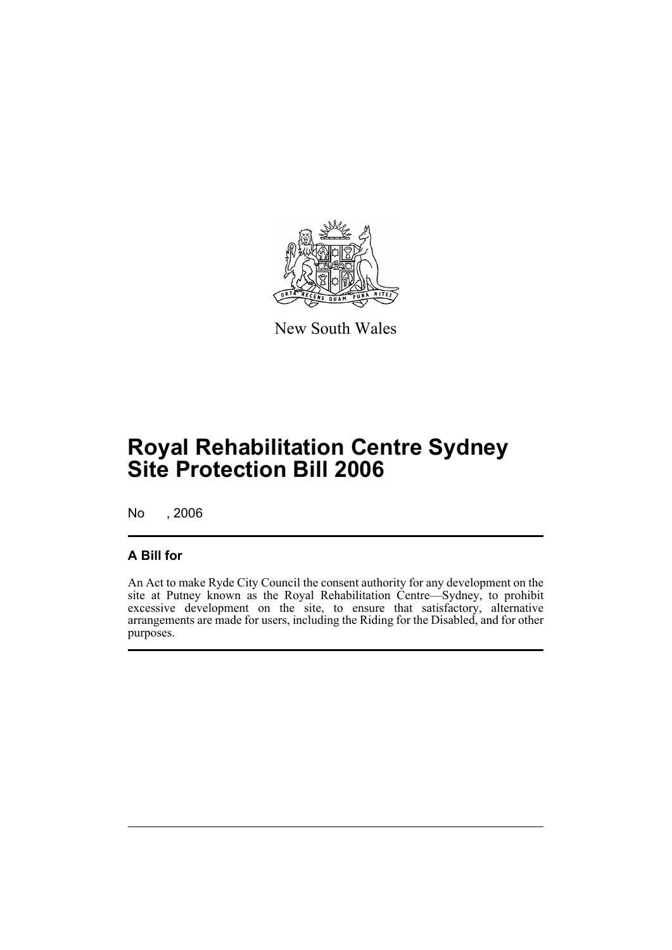

New South Wales

## **Royal Rehabilitation Centre Sydney Site Protection Bill 2006**

No , 2006

### **A Bill for**

An Act to make Ryde City Council the consent authority for any development on the site at Putney known as the Royal Rehabilitation Centre—Sydney, to prohibit excessive development on the site, to ensure that satisfactory, alternative arrangements are made for users, including the Riding for the Disabled, and for other purposes.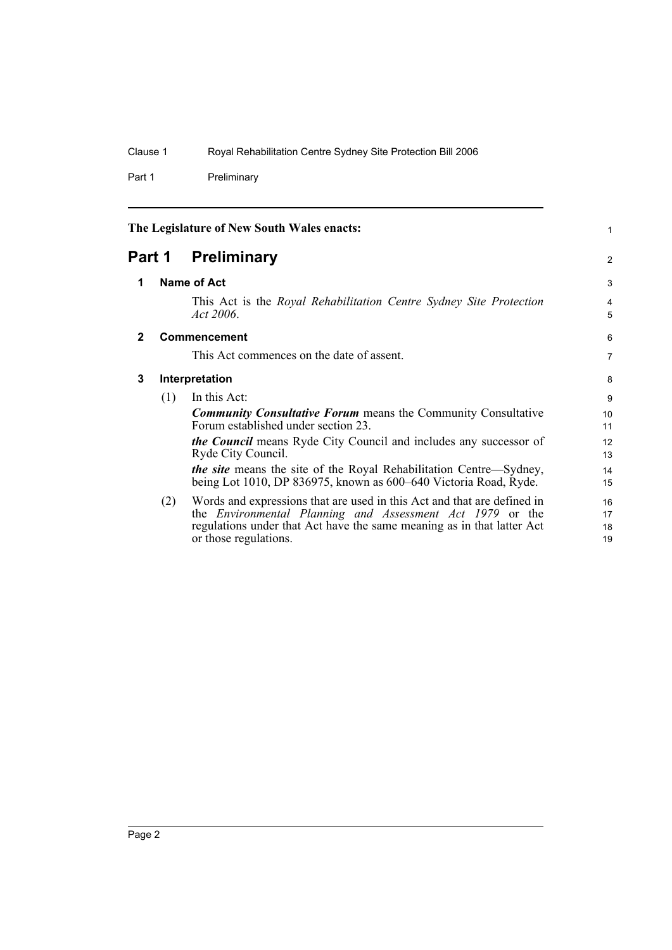Part 1 Preliminary

<span id="page-7-3"></span><span id="page-7-2"></span><span id="page-7-1"></span><span id="page-7-0"></span>

| The Legislature of New South Wales enacts: |                |                                                                                                                                                                                                                                         | 1                    |  |
|--------------------------------------------|----------------|-----------------------------------------------------------------------------------------------------------------------------------------------------------------------------------------------------------------------------------------|----------------------|--|
| <b>Preliminary</b><br>Part 1               |                | 2                                                                                                                                                                                                                                       |                      |  |
| 1                                          |                | Name of Act                                                                                                                                                                                                                             |                      |  |
|                                            |                | This Act is the Royal Rehabilitation Centre Sydney Site Protection<br>$Act\,2006$ .                                                                                                                                                     | $\overline{4}$<br>5  |  |
| $\mathbf{2}$                               |                | Commencement                                                                                                                                                                                                                            | 6                    |  |
|                                            |                | This Act commences on the date of assent.                                                                                                                                                                                               | $\overline{7}$       |  |
| 3                                          | Interpretation |                                                                                                                                                                                                                                         | 8                    |  |
|                                            | (1)            | In this Act:                                                                                                                                                                                                                            | 9                    |  |
|                                            |                | <b>Community Consultative Forum</b> means the Community Consultative<br>Forum established under section 23.                                                                                                                             | 10<br>11             |  |
|                                            |                | <b><i>the Council</i></b> means Ryde City Council and includes any successor of<br>Ryde City Council.                                                                                                                                   | 12<br>13             |  |
|                                            |                | <i>the site</i> means the site of the Royal Rehabilitation Centre—Sydney,<br>being Lot 1010, DP 836975, known as 600–640 Victoria Road, Ryde.                                                                                           | 14<br>15             |  |
|                                            | (2)            | Words and expressions that are used in this Act and that are defined in<br>the Environmental Planning and Assessment Act 1979 or the<br>regulations under that Act have the same meaning as in that latter Act<br>or those regulations. | 16<br>17<br>18<br>19 |  |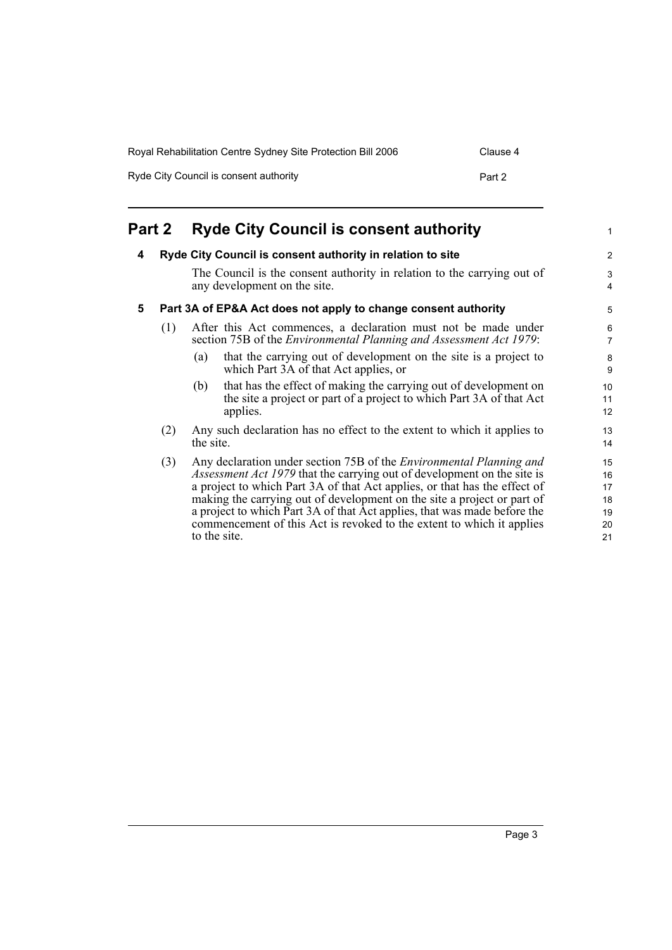| Royal Rehabilitation Centre Sydney Site Protection Bill 2006 | Clause 4 |
|--------------------------------------------------------------|----------|
| Ryde City Council is consent authority                       | Part 2   |

<span id="page-8-2"></span><span id="page-8-1"></span><span id="page-8-0"></span>

| Part 2 |     |              | <b>Ryde City Council is consent authority</b>                                                                                                                                                                                                                                                                                                                                                                                                                             | 1                                      |
|--------|-----|--------------|---------------------------------------------------------------------------------------------------------------------------------------------------------------------------------------------------------------------------------------------------------------------------------------------------------------------------------------------------------------------------------------------------------------------------------------------------------------------------|----------------------------------------|
| 4      |     |              | Ryde City Council is consent authority in relation to site                                                                                                                                                                                                                                                                                                                                                                                                                | $\overline{c}$                         |
|        |     |              | The Council is the consent authority in relation to the carrying out of<br>any development on the site.                                                                                                                                                                                                                                                                                                                                                                   | 3<br>4                                 |
| 5      |     |              | Part 3A of EP&A Act does not apply to change consent authority                                                                                                                                                                                                                                                                                                                                                                                                            | 5                                      |
|        | (1) |              | After this Act commences, a declaration must not be made under<br>section 75B of the <i>Environmental Planning and Assessment Act 1979</i> :                                                                                                                                                                                                                                                                                                                              | 6<br>7                                 |
|        |     | (a)          | that the carrying out of development on the site is a project to<br>which Part 3A of that Act applies, or                                                                                                                                                                                                                                                                                                                                                                 | 8<br>9                                 |
|        |     | (b)          | that has the effect of making the carrying out of development on<br>the site a project or part of a project to which Part 3A of that Act<br>applies.                                                                                                                                                                                                                                                                                                                      | 10<br>11<br>12                         |
|        | (2) | the site.    | Any such declaration has no effect to the extent to which it applies to                                                                                                                                                                                                                                                                                                                                                                                                   | 13<br>14                               |
|        | (3) | to the site. | Any declaration under section 75B of the <i>Environmental Planning and</i><br><i>Assessment Act 1979</i> that the carrying out of development on the site is<br>a project to which Part 3A of that Act applies, or that has the effect of<br>making the carrying out of development on the site a project or part of<br>a project to which Part 3A of that Act applies, that was made before the<br>commencement of this Act is revoked to the extent to which it applies | 15<br>16<br>17<br>18<br>19<br>20<br>21 |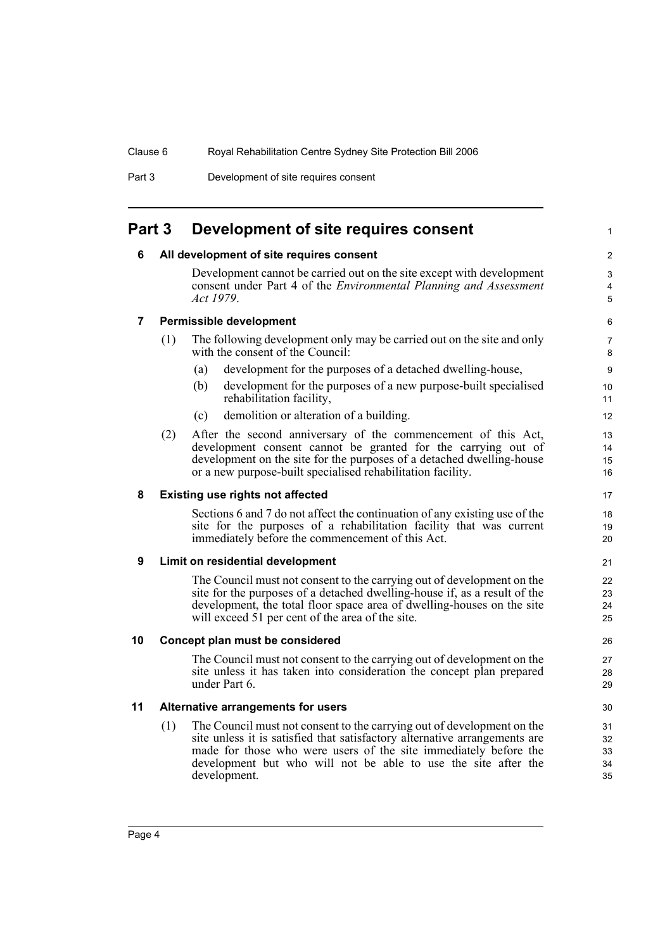Part 3 Development of site requires consent

## <span id="page-9-1"></span><span id="page-9-0"></span>**Part 3 Development of site requires consent**

#### **6 All development of site requires consent**

Development cannot be carried out on the site except with development consent under Part 4 of the *Environmental Planning and Assessment Act 1979*.

#### <span id="page-9-2"></span>**7 Permissible development**

- (1) The following development only may be carried out on the site and only with the consent of the Council:
	- (a) development for the purposes of a detached dwelling-house,
	- (b) development for the purposes of a new purpose-built specialised rehabilitation facility,
	- (c) demolition or alteration of a building.
- (2) After the second anniversary of the commencement of this Act, development consent cannot be granted for the carrying out of development on the site for the purposes of a detached dwelling-house or a new purpose-built specialised rehabilitation facility.

#### <span id="page-9-3"></span>**8 Existing use rights not affected**

Sections 6 and 7 do not affect the continuation of any existing use of the site for the purposes of a rehabilitation facility that was current immediately before the commencement of this Act.

#### <span id="page-9-4"></span>**9 Limit on residential development**

The Council must not consent to the carrying out of development on the site for the purposes of a detached dwelling-house if, as a result of the development, the total floor space area of dwelling-houses on the site will exceed 51 per cent of the area of the site.

#### <span id="page-9-5"></span>**10 Concept plan must be considered**

The Council must not consent to the carrying out of development on the site unless it has taken into consideration the concept plan prepared under Part 6.

#### <span id="page-9-6"></span>**11 Alternative arrangements for users**

(1) The Council must not consent to the carrying out of development on the site unless it is satisfied that satisfactory alternative arrangements are made for those who were users of the site immediately before the development but who will not be able to use the site after the development.

4 5

1

 $\mathfrak{p}$ 3

15 16 17

> 18 19  $20$

21  $22$ 23

29 30 31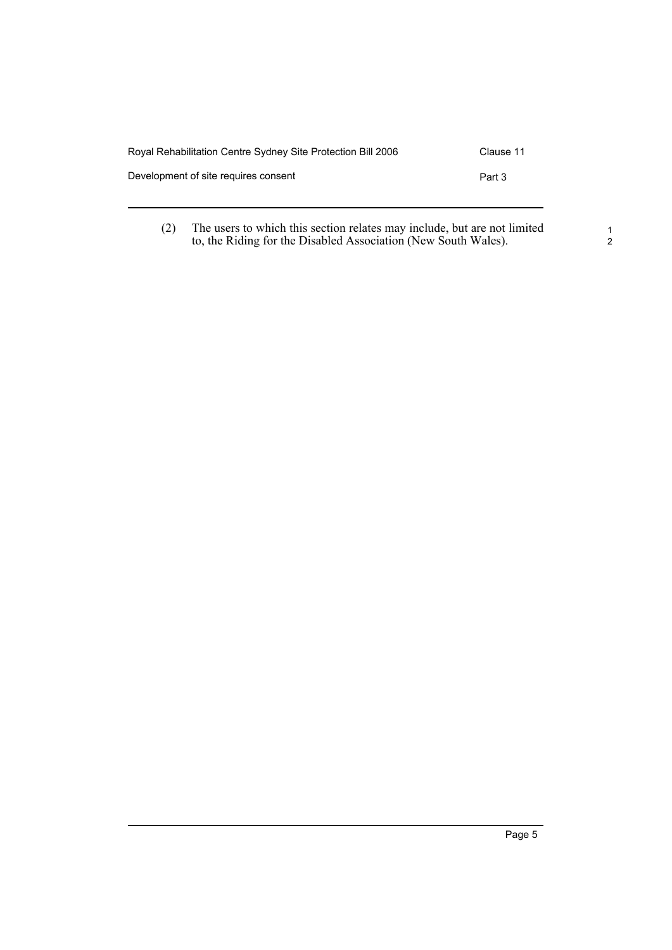| Royal Rehabilitation Centre Sydney Site Protection Bill 2006 | Clause 11 |
|--------------------------------------------------------------|-----------|
| Development of site requires consent                         | Part 3    |
|                                                              |           |

(2) The users to which this section relates may include, but are not limited to, the Riding for the Disabled Association (New South Wales).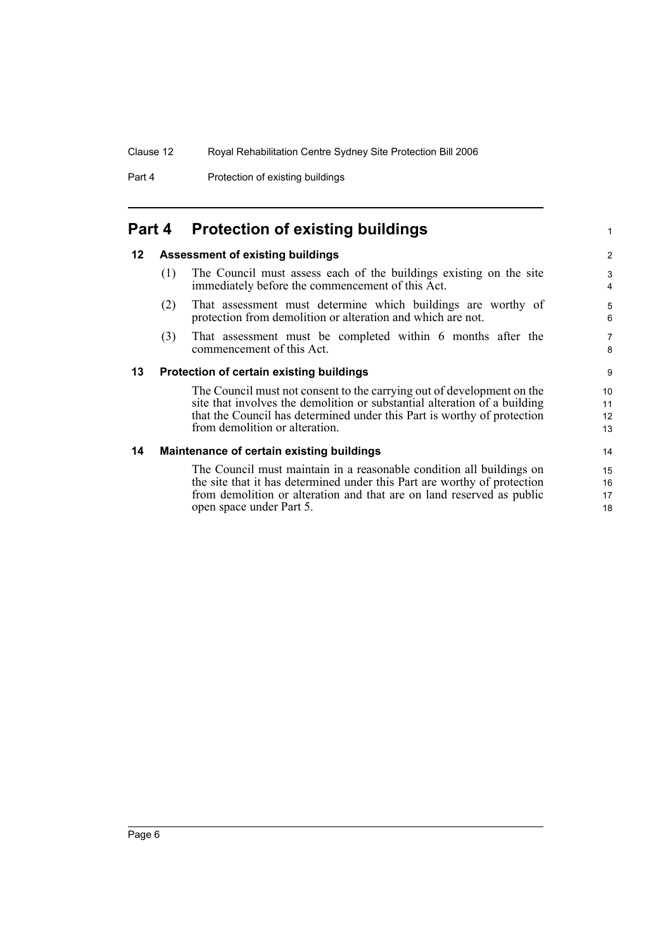Part 4 **Protection of existing buildings** 

## <span id="page-11-0"></span>**Part 4 Protection of existing buildings**

#### <span id="page-11-1"></span>**12 Assessment of existing buildings**

- (1) The Council must assess each of the buildings existing on the site immediately before the commencement of this Act.
- (2) That assessment must determine which buildings are worthy of protection from demolition or alteration and which are not.
- (3) That assessment must be completed within 6 months after the commencement of this Act.

#### <span id="page-11-2"></span>**13 Protection of certain existing buildings**

The Council must not consent to the carrying out of development on the site that involves the demolition or substantial alteration of a building that the Council has determined under this Part is worthy of protection from demolition or alteration.

#### <span id="page-11-3"></span>**14 Maintenance of certain existing buildings**

The Council must maintain in a reasonable condition all buildings on the site that it has determined under this Part are worthy of protection from demolition or alteration and that are on land reserved as public open space under Part 5.

8 9

1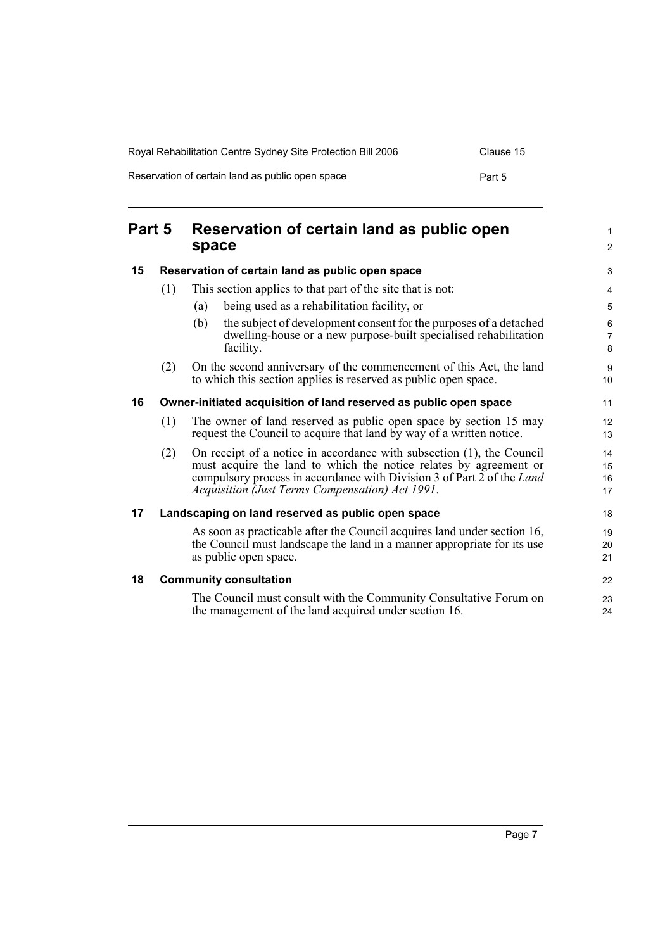| Royal Rehabilitation Centre Sydney Site Protection Bill 2006 | Clause 15 |
|--------------------------------------------------------------|-----------|
| Reservation of certain land as public open space             | Part 5    |

<span id="page-12-4"></span><span id="page-12-3"></span><span id="page-12-2"></span><span id="page-12-1"></span><span id="page-12-0"></span>

| Part 5 |     | Reservation of certain land as public open<br>space                                                                                                                                                                                                                     |                      |  |
|--------|-----|-------------------------------------------------------------------------------------------------------------------------------------------------------------------------------------------------------------------------------------------------------------------------|----------------------|--|
| 15     |     | Reservation of certain land as public open space                                                                                                                                                                                                                        |                      |  |
|        | (1) | This section applies to that part of the site that is not:                                                                                                                                                                                                              | 4                    |  |
|        |     | being used as a rehabilitation facility, or<br>(a)                                                                                                                                                                                                                      | 5                    |  |
|        |     | the subject of development consent for the purposes of a detached<br>(b)<br>dwelling-house or a new purpose-built specialised rehabilitation<br>facility.                                                                                                               | 6<br>7<br>8          |  |
|        | (2) | On the second anniversary of the commencement of this Act, the land<br>to which this section applies is reserved as public open space.                                                                                                                                  | 9<br>10              |  |
| 16     |     | Owner-initiated acquisition of land reserved as public open space                                                                                                                                                                                                       |                      |  |
|        | (1) | The owner of land reserved as public open space by section 15 may<br>request the Council to acquire that land by way of a written notice.                                                                                                                               | 12<br>13             |  |
|        | (2) | On receipt of a notice in accordance with subsection (1), the Council<br>must acquire the land to which the notice relates by agreement or<br>compulsory process in accordance with Division 3 of Part 2 of the Land<br>Acquisition (Just Terms Compensation) Act 1991. | 14<br>15<br>16<br>17 |  |
| 17     |     | Landscaping on land reserved as public open space                                                                                                                                                                                                                       | 18                   |  |
|        |     | As soon as practicable after the Council acquires land under section 16,<br>the Council must landscape the land in a manner appropriate for its use<br>as public open space.                                                                                            | 19<br>20<br>21       |  |
| 18     |     | <b>Community consultation</b>                                                                                                                                                                                                                                           | 22                   |  |
|        |     | The Council must consult with the Community Consultative Forum on<br>the management of the land acquired under section 16.                                                                                                                                              | 23<br>24             |  |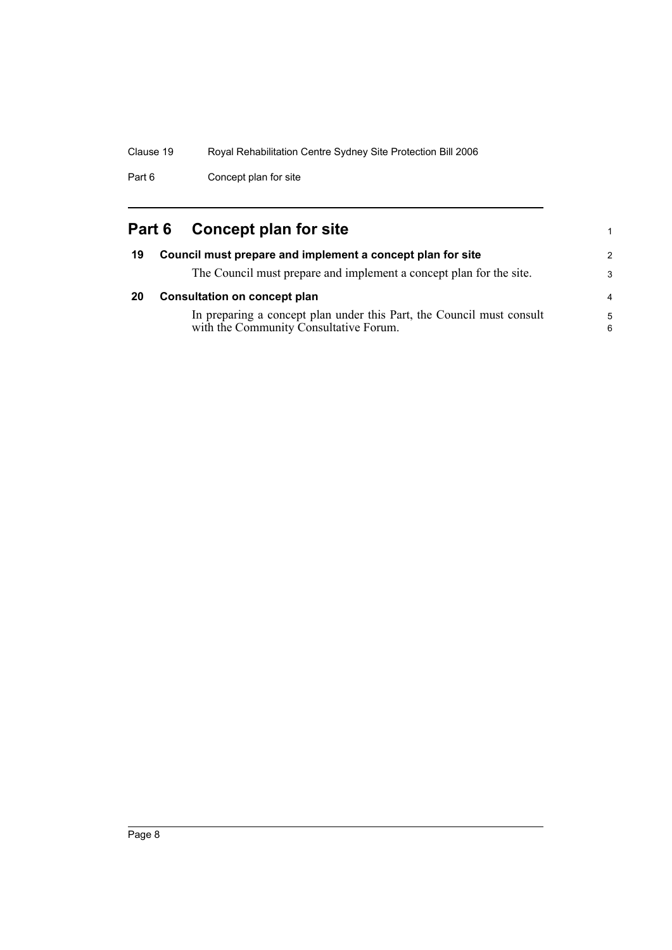Part 6 Concept plan for site

## <span id="page-13-1"></span><span id="page-13-0"></span>**Part 6 Concept plan for site**

<span id="page-13-2"></span>

| 19 | Council must prepare and implement a concept plan for site                                                      | $\overline{2}$ |
|----|-----------------------------------------------------------------------------------------------------------------|----------------|
|    | The Council must prepare and implement a concept plan for the site.                                             | -3             |
| 20 | <b>Consultation on concept plan</b>                                                                             | $\overline{4}$ |
|    | In preparing a concept plan under this Part, the Council must consult<br>with the Community Consultative Forum. | -5<br>6        |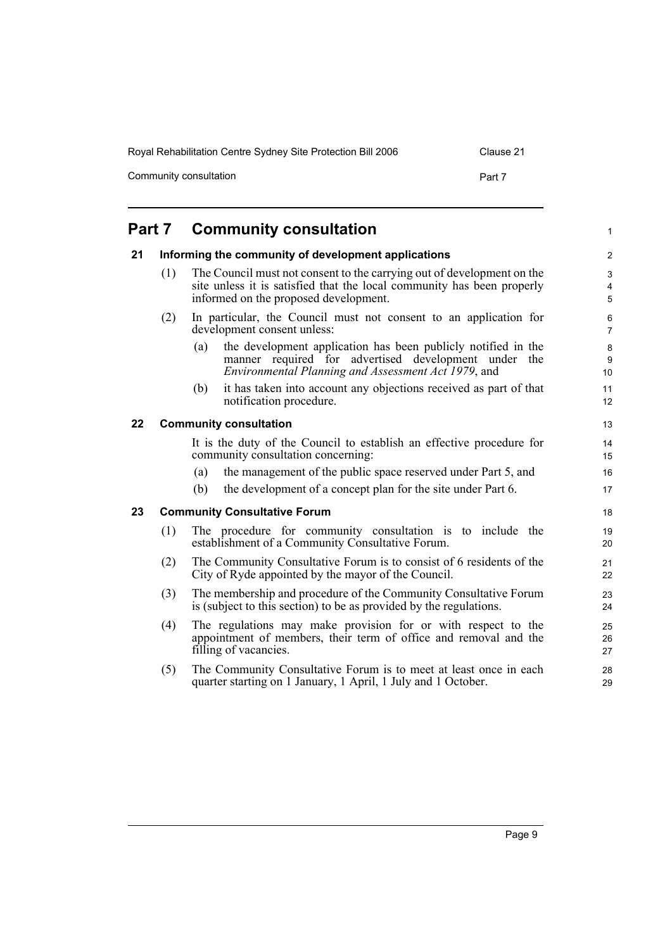Community consultation example of the consultation example of the Part 7

#### <span id="page-14-3"></span><span id="page-14-2"></span><span id="page-14-1"></span><span id="page-14-0"></span>**Part 7 Community consultation 21 Informing the community of development applications** (1) The Council must not consent to the carrying out of development on the site unless it is satisfied that the local community has been properly informed on the proposed development. (2) In particular, the Council must not consent to an application for development consent unless: (a) the development application has been publicly notified in the manner required for advertised development under the *Environmental Planning and Assessment Act 1979*, and (b) it has taken into account any objections received as part of that notification procedure. **22 Community consultation** It is the duty of the Council to establish an effective procedure for community consultation concerning: (a) the management of the public space reserved under Part 5, and (b) the development of a concept plan for the site under Part 6. **23 Community Consultative Forum** (1) The procedure for community consultation is to include the establishment of a Community Consultative Forum. (2) The Community Consultative Forum is to consist of 6 residents of the City of Ryde appointed by the mayor of the Council. (3) The membership and procedure of the Community Consultative Forum is (subject to this section) to be as provided by the regulations. (4) The regulations may make provision for or with respect to the appointment of members, their term of office and removal and the filling of vacancies. (5) The Community Consultative Forum is to meet at least once in each quarter starting on 1 January, 1 April, 1 July and 1 October. 1  $\overline{2}$ 3 4 5 6 7 8 9 10 11 12 13 14 15 16 17 18 19 20 21 22 23  $24$ 25 26 27 28 29